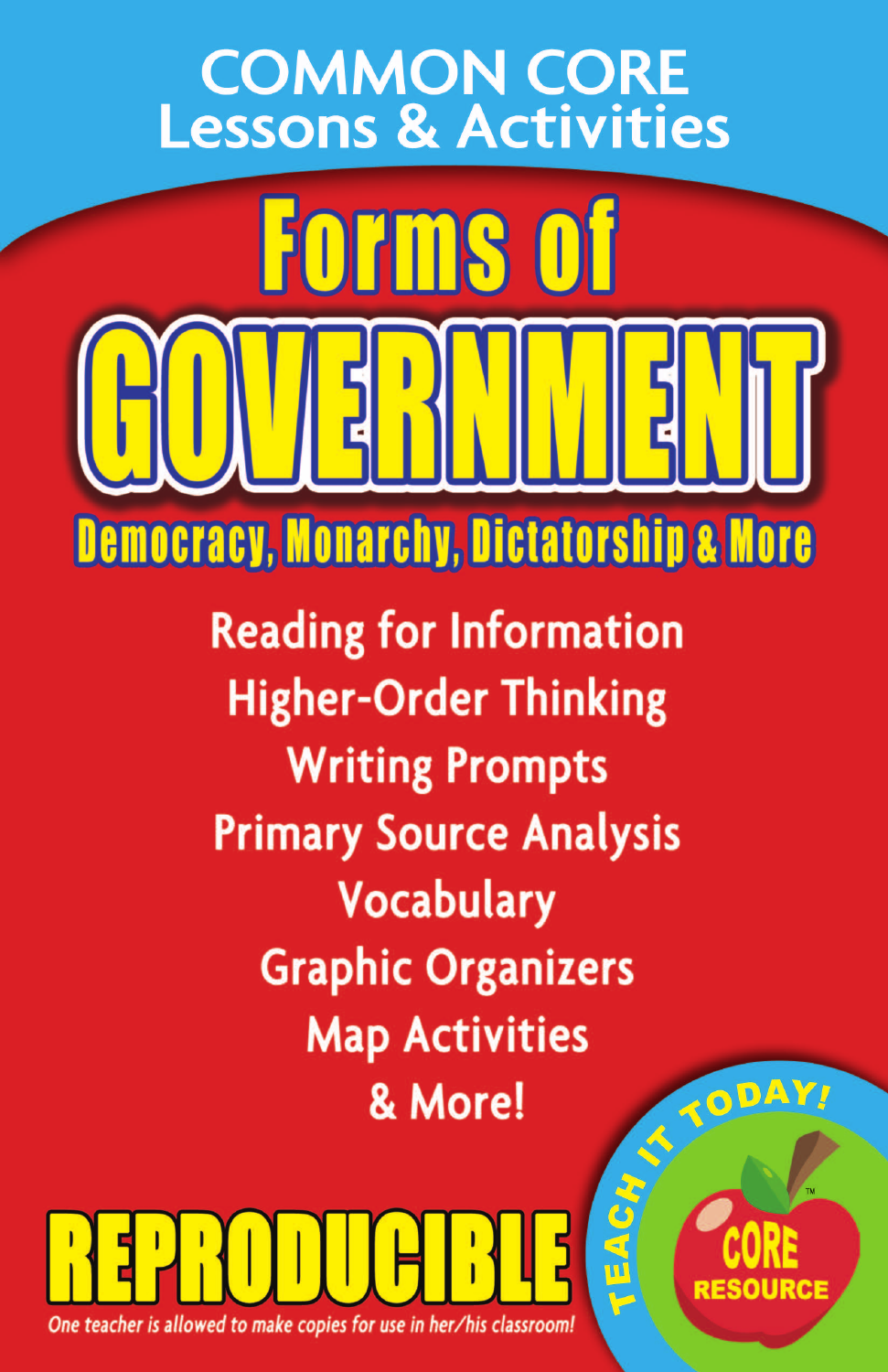## **COMMON CORE** Lessons & Activities

**Forms of** 

**Democracy, Monarchy, Dictatorship & More** 

**Reading for Information Higher-Order Thinking Writing Prompts Primary Source Analysis Vocabulary Graphic Organizers Map Activities** TODAY. & More!

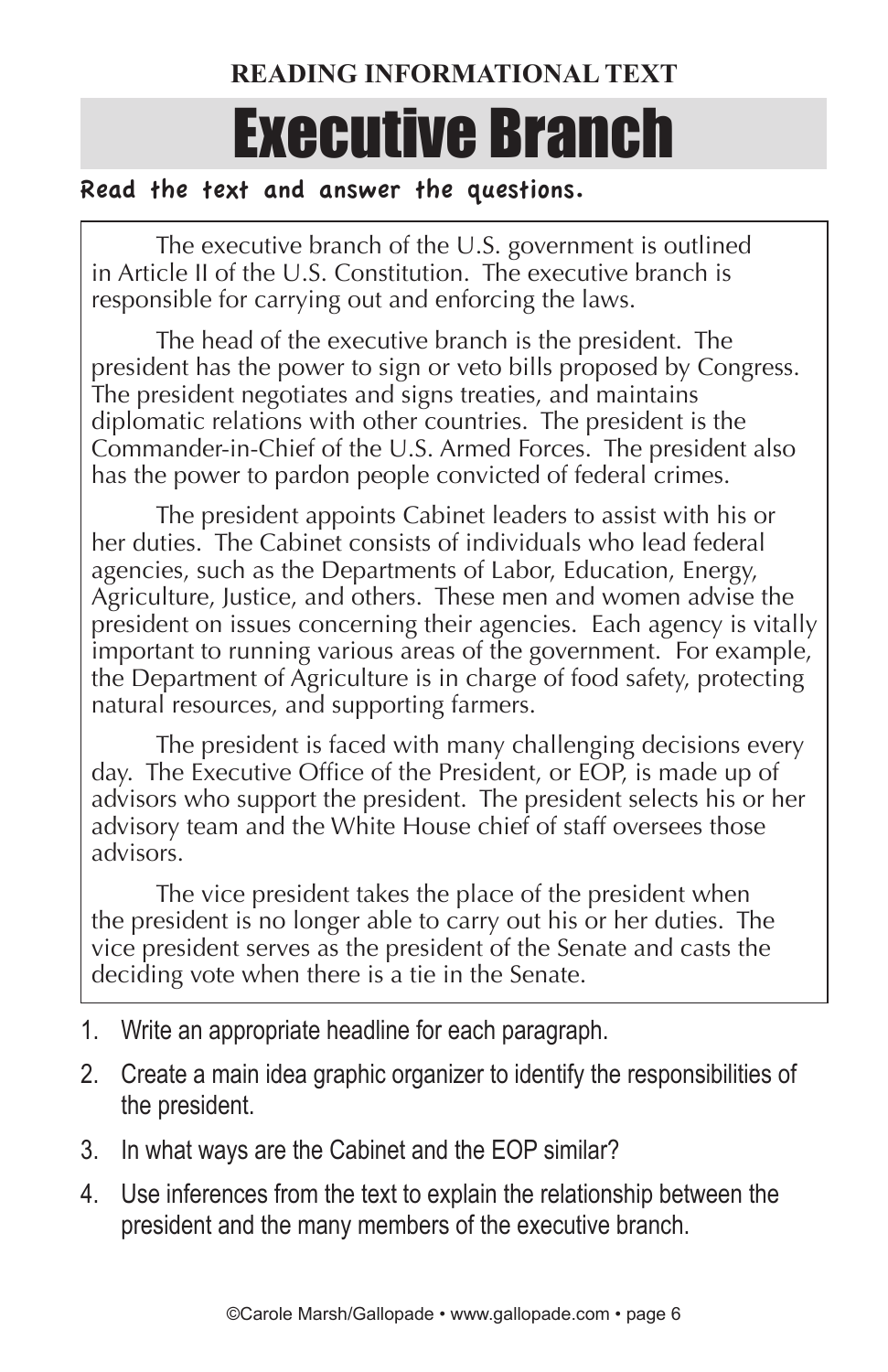## **READING INFORMATIONAL TEXT**

# Executive Branch

#### Read the text and answer the questions.

The executive branch of the U.S. government is outlined in Article II of the U.S. Constitution. The executive branch is responsible for carrying out and enforcing the laws.

The head of the executive branch is the president. The president has the power to sign or veto bills proposed by Congress. The president negotiates and signs treaties, and maintains diplomatic relations with other countries. The president is the Commander-in-Chief of the U.S. Armed Forces. The president also has the power to pardon people convicted of federal crimes.

The president appoints Cabinet leaders to assist with his or her duties. The Cabinet consists of individuals who lead federal agencies, such as the Departments of Labor, Education, Energy, Agriculture, Justice, and others. These men and women advise the president on issues concerning their agencies. Each agency is vitally important to running various areas of the government. For example, the Department of Agriculture is in charge of food safety, protecting natural resources, and supporting farmers.

The president is faced with many challenging decisions every day. The Executive Office of the President, or EOP, is made up of advisors who support the president. The president selects his or her advisory team and the White House chief of staff oversees those advisors.

The vice president takes the place of the president when the president is no longer able to carry out his or her duties. The vice president serves as the president of the Senate and casts the deciding vote when there is a tie in the Senate.

- 1. Write an appropriate headline for each paragraph.
- 2. Create a main idea graphic organizer to identify the responsibilities of the president.
- 3. In what ways are the Cabinet and the EOP similar?
- 4. Use inferences from the text to explain the relationship between the president and the many members of the executive branch.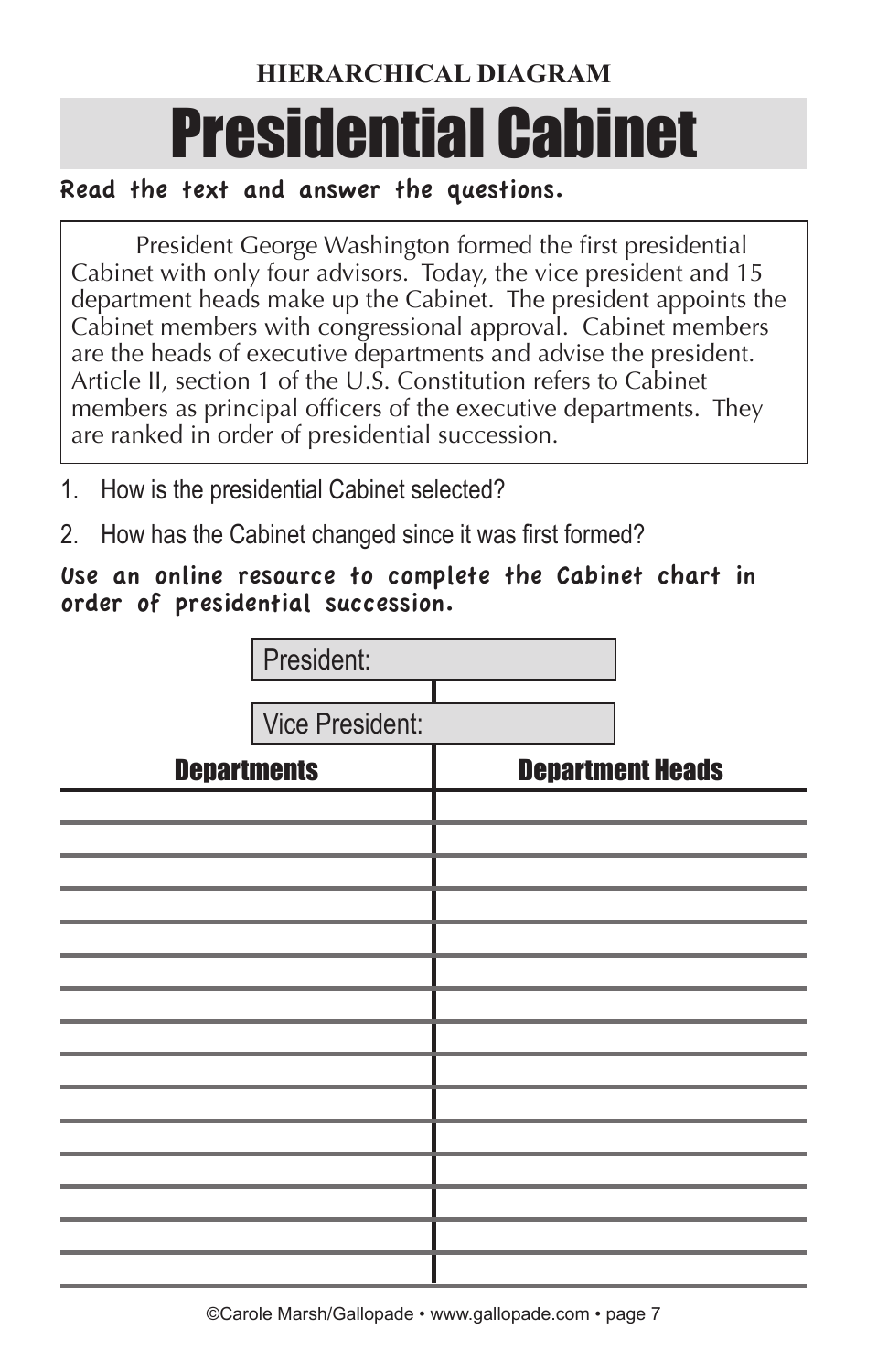## **HIERARCHICAL DIAGRAM**

# Presidential Cabinet

### Read the text and answer the questions.

President George Washington formed the first presidential Cabinet with only four advisors. Today, the vice president and 15 department heads make up the Cabinet. The president appoints the Cabinet members with congressional approval. Cabinet members are the heads of executive departments and advise the president. Article II, section 1 of the U.S. Constitution refers to Cabinet members as principal officers of the executive departments. They are ranked in order of presidential succession.

- 1. How is the presidential Cabinet selected?
- 2. How has the Cabinet changed since it was first formed?

#### Use an online resource to complete the Cabinet chart in order of presidential succession.

|                    | President: |                         |  |
|--------------------|------------|-------------------------|--|
| Vice President:    |            |                         |  |
|                    |            |                         |  |
| <b>Departments</b> |            | <b>Department Heads</b> |  |
|                    |            |                         |  |
|                    |            |                         |  |
|                    |            |                         |  |
|                    |            |                         |  |
|                    |            |                         |  |
|                    |            |                         |  |
|                    |            |                         |  |
|                    |            |                         |  |
|                    |            |                         |  |
|                    |            |                         |  |
|                    |            |                         |  |
|                    |            |                         |  |